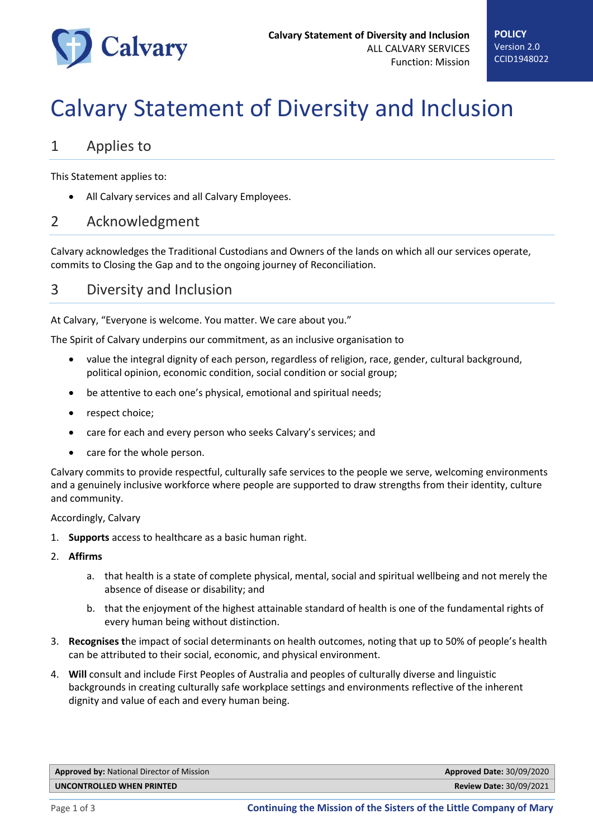

# Calvary Statement of Diversity and Inclusion

## 1 Applies to

This Statement applies to:

All Calvary services and all Calvary Employees.

## 2 Acknowledgment

Calvary acknowledges the Traditional Custodians and Owners of the lands on which all our services operate, commits to Closing the Gap and to the ongoing journey of Reconciliation.

## 3 Diversity and Inclusion

At Calvary, "Everyone is welcome. You matter. We care about you."

The Spirit of Calvary underpins our commitment, as an inclusive organisation to

- value the integral dignity of each person, regardless of religion, race, gender, cultural background, political opinion, economic condition, social condition or social group;
- be attentive to each one's physical, emotional and spiritual needs;
- respect choice;
- care for each and every person who seeks Calvary's services; and
- care for the whole person.

Calvary commits to provide respectful, culturally safe services to the people we serve, welcoming environments and a genuinely inclusive workforce where people are supported to draw strengths from their identity, culture and community.

#### Accordingly, Calvary

- 1. **Supports** access to healthcare as a basic human right.
- 2. **Affirms** 
	- a. that health is a state of complete physical, mental, social and spiritual wellbeing and not merely the absence of disease or disability; and
	- b. that the enjoyment of the highest attainable standard of health is one of the fundamental rights of every human being without distinction.
- 3. **Recognises t**he impact of social determinants on health outcomes, noting that up to 50% of people's health can be attributed to their social, economic, and physical environment.
- 4. **Will** consult and include First Peoples of Australia and peoples of culturally diverse and linguistic backgrounds in creating culturally safe workplace settings and environments reflective of the inherent dignity and value of each and every human being.

| <b>Approved by: National Director of Mission</b> | <b>Approved Date: 30/09/2020</b> |
|--------------------------------------------------|----------------------------------|
| UNCONTROLLED WHEN PRINTED                        | <b>Review Date: 30/09/2021</b>   |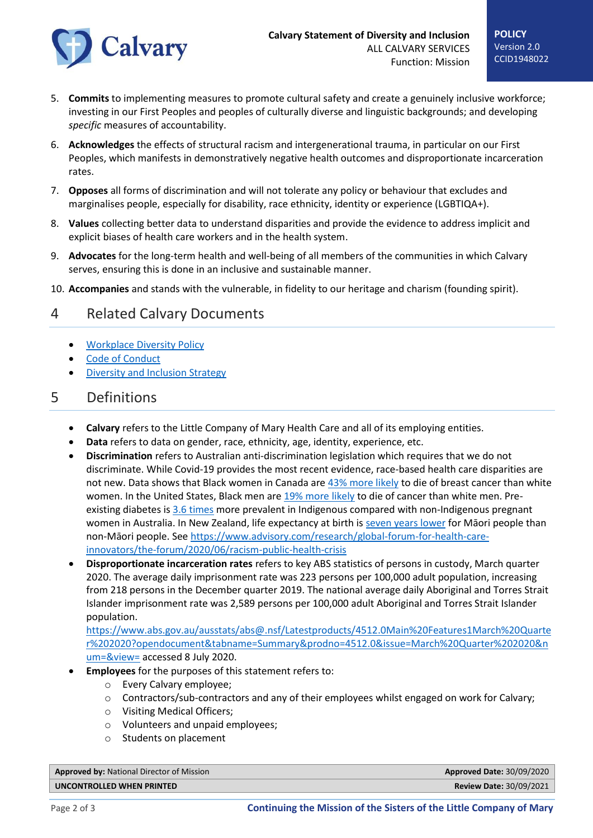

- 5. **Commits** to implementing measures to promote cultural safety and create a genuinely inclusive workforce; investing in our First Peoples and peoples of culturally diverse and linguistic backgrounds; and developing *specific* measures of accountability.
- 6. **Acknowledges** the effects of structural racism and intergenerational trauma, in particular on our First Peoples, which manifests in demonstratively negative health outcomes and disproportionate incarceration rates.
- 7. **Opposes** all forms of discrimination and will not tolerate any policy or behaviour that excludes and marginalises people, especially for disability, race ethnicity, identity or experience (LGBTIQA+).
- 8. **Values** collecting better data to understand disparities and provide the evidence to address implicit and explicit biases of health care workers and in the health system.
- 9. **Advocates** for the long-term health and well-being of all members of the communities in which Calvary serves, ensuring this is done in an inclusive and sustainable manner.
- 10. **Accompanies** and stands with the vulnerable, in fidelity to our heritage and charism (founding spirit).

# 4 Related Calvary Documents

- [Workplace Diversity Policy](http://connect.calvarycare.org.au/committees/HR/_layouts/15/WopiFrame.aspx?sourcedoc=/committees/HR/Shared%20Documents/Workplace%20Diversity%20Policy.docx&action=default&DefaultItemOpen=1)
- [Code of Conduct](http://connect.calvarycare.org.au/committees/HR/_layouts/15/WopiFrame.aspx?sourcedoc=/committees/HR/Shared%20Documents/Code%20of%20Conduct.pdf&action=default&DefaultItemOpen=1)
- [Diversity and Inclusion Strategy](http://connect.calvarycare.org.au/functions/mission/Shared%20Documents/Diversity%20and%20Inclusion%20Strategy.docx?Web=1)

## 5 Definitions

- **Calvary** refers to the Little Company of Mary Health Care and all of its employing entities.
- **Data** refers to data on gender, race, ethnicity, age, identity, experience, etc.
- **Discrimination** refers to Australian anti-discrimination legislation which requires that we do not discriminate. While Covid-19 provides the most recent evidence, race-based health care disparities are not new. Data shows that Black women in Canada are [43% more likely](https://globalnews.ca/news/6892178/black-canadians-coronavirus-risk/) to die of breast cancer than white women. In the United States, Black men are [19% more likely](https://www.advisory.com/daily-briefing/2019/02/18/cancer-disparities) to die of cancer than white men. Preexisting diabetes i[s 3.6 times](https://www.thelancet.com/journals/langlo/article/PIIS2214-109X(20)30072-3/fulltext) more prevalent in Indigenous compared with non-Indigenous pregnant women in Australia. In New Zealand, life expectancy at birth is [seven years lower](https://www.ncbi.nlm.nih.gov/pmc/articles/PMC6561487/) for Māori people than non-Māori people. See [https://www.advisory.com/research/global-forum-for-health-care](https://www.advisory.com/research/global-forum-for-health-care-innovators/the-forum/2020/06/racism-public-health-crisis)[innovators/the-forum/2020/06/racism-public-health-crisis](https://www.advisory.com/research/global-forum-for-health-care-innovators/the-forum/2020/06/racism-public-health-crisis)
- **Disproportionate incarceration rates** refers to key ABS statistics of persons in custody, March quarter 2020. The average daily imprisonment rate was 223 persons per 100,000 adult population, increasing from 218 persons in the December quarter 2019. The national average daily Aboriginal and Torres Strait Islander imprisonment rate was 2,589 persons per 100,000 adult Aboriginal and Torres Strait Islander population.

[https://www.abs.gov.au/ausstats/abs@.nsf/Latestproducts/4512.0Main%20Features1March%20Quarte](https://www.abs.gov.au/ausstats/abs@.nsf/Latestproducts/4512.0Main%20Features1March%20Quarter%202020?opendocument&tabname=Summary&prodno=4512.0&issue=March%20Quarter%202020&num=&view=) [r%202020?opendocument&tabname=Summary&prodno=4512.0&issue=March%20Quarter%202020&n](https://www.abs.gov.au/ausstats/abs@.nsf/Latestproducts/4512.0Main%20Features1March%20Quarter%202020?opendocument&tabname=Summary&prodno=4512.0&issue=March%20Quarter%202020&num=&view=) [um=&view=](https://www.abs.gov.au/ausstats/abs@.nsf/Latestproducts/4512.0Main%20Features1March%20Quarter%202020?opendocument&tabname=Summary&prodno=4512.0&issue=March%20Quarter%202020&num=&view=) accessed 8 July 2020.

- **Employees** for the purposes of this statement refers to:
	- o Every Calvary employee;
	- o Contractors/sub-contractors and any of their employees whilst engaged on work for Calvary;
	- o Visiting Medical Officers;
	- o Volunteers and unpaid employees;
	- o Students on placement

| <b>Approved by: National Director of Mission</b> | Approved Date: 30/09/2020      |
|--------------------------------------------------|--------------------------------|
| UNCONTROLLED WHEN PRINTED                        | <b>Review Date: 30/09/2021</b> |